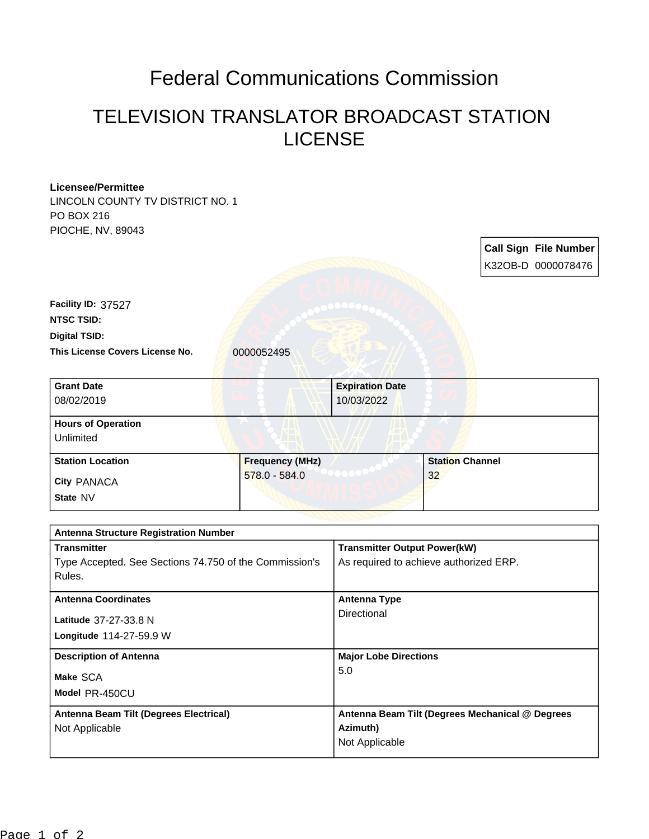## Federal Communications Commission

## TELEVISION TRANSLATOR BROADCAST STATION LICENSE

| <b>Licensee/Permittee</b>                              |                                         |                                                 |                        |  |                              |
|--------------------------------------------------------|-----------------------------------------|-------------------------------------------------|------------------------|--|------------------------------|
| LINCOLN COUNTY TV DISTRICT NO. 1                       |                                         |                                                 |                        |  |                              |
| PO BOX 216                                             |                                         |                                                 |                        |  |                              |
| PIOCHE, NV, 89043                                      |                                         |                                                 |                        |  |                              |
|                                                        |                                         |                                                 |                        |  | <b>Call Sign File Number</b> |
|                                                        |                                         |                                                 |                        |  | K32OB-D 0000078476           |
|                                                        |                                         |                                                 |                        |  |                              |
| Facility ID: 37527                                     |                                         |                                                 |                        |  |                              |
| <b>NTSC TSID:</b>                                      |                                         |                                                 |                        |  |                              |
| <b>Digital TSID:</b>                                   |                                         |                                                 |                        |  |                              |
| This License Covers License No.                        | 0000052495                              |                                                 |                        |  |                              |
|                                                        |                                         |                                                 |                        |  |                              |
| <b>Grant Date</b>                                      |                                         | <b>Expiration Date</b>                          |                        |  |                              |
| 08/02/2019                                             |                                         | 10/03/2022                                      |                        |  |                              |
| <b>Hours of Operation</b>                              |                                         |                                                 |                        |  |                              |
| Unlimited                                              |                                         |                                                 |                        |  |                              |
| <b>Station Location</b>                                |                                         |                                                 | <b>Station Channel</b> |  |                              |
|                                                        | <b>Frequency (MHz)</b><br>578.0 - 584.0 |                                                 | 32                     |  |                              |
| City PANACA                                            |                                         |                                                 |                        |  |                              |
| State NV                                               |                                         |                                                 |                        |  |                              |
|                                                        |                                         |                                                 |                        |  |                              |
| <b>Antenna Structure Registration Number</b>           |                                         |                                                 |                        |  |                              |
| <b>Transmitter</b>                                     |                                         | <b>Transmitter Output Power(kW)</b>             |                        |  |                              |
| Type Accepted. See Sections 74.750 of the Commission's |                                         | As required to achieve authorized ERP.          |                        |  |                              |
| Rules.                                                 |                                         |                                                 |                        |  |                              |
| <b>Antenna Coordinates</b>                             |                                         | <b>Antenna Type</b>                             |                        |  |                              |
| Latitude 37-27-33.8 N                                  |                                         | Directional                                     |                        |  |                              |
| Longitude 114-27-59.9 W                                |                                         |                                                 |                        |  |                              |
|                                                        |                                         |                                                 |                        |  |                              |
| <b>Description of Antenna</b>                          |                                         | <b>Major Lobe Directions</b><br>5.0             |                        |  |                              |
| Make SCA                                               |                                         |                                                 |                        |  |                              |
| Model PR-450CU                                         |                                         |                                                 |                        |  |                              |
| Antenna Beam Tilt (Degrees Electrical)                 |                                         | Antenna Beam Tilt (Degrees Mechanical @ Degrees |                        |  |                              |
| Not Applicable                                         |                                         | Azimuth)                                        |                        |  |                              |
|                                                        |                                         | Not Applicable                                  |                        |  |                              |